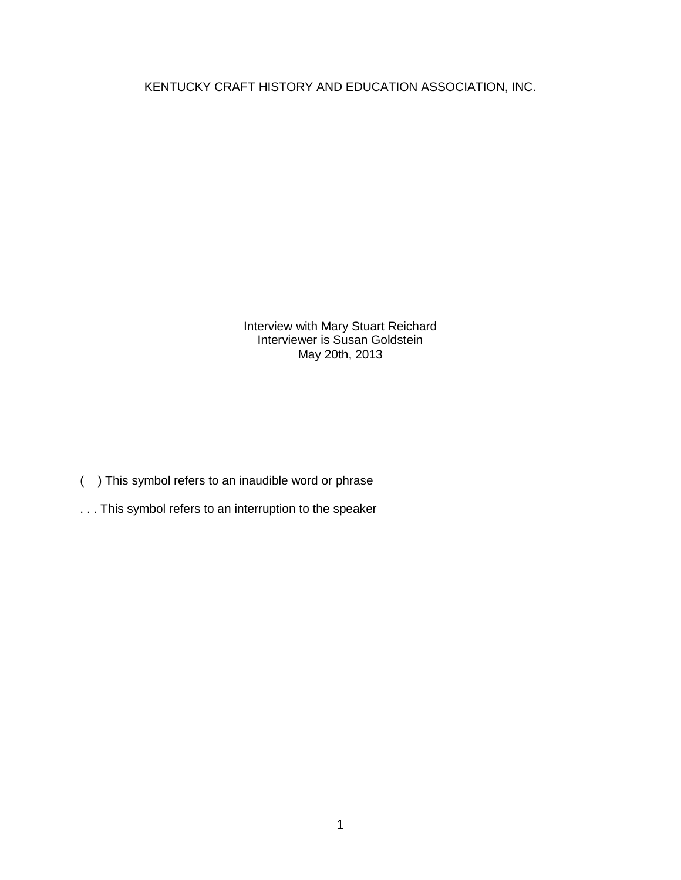KENTUCKY CRAFT HISTORY AND EDUCATION ASSOCIATION, INC.

Interview with Mary Stuart Reichard Interviewer is Susan Goldstein May 20th, 2013

- ( ) This symbol refers to an inaudible word or phrase
- . . . This symbol refers to an interruption to the speaker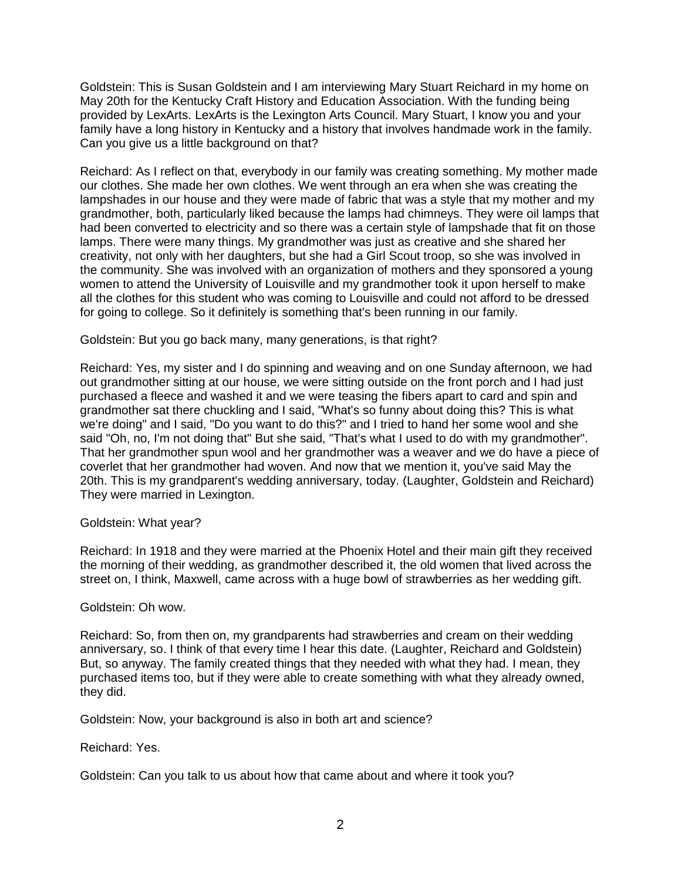Goldstein: This is Susan Goldstein and I am interviewing Mary Stuart Reichard in my home on May 20th for the Kentucky Craft History and Education Association. With the funding being provided by LexArts. LexArts is the Lexington Arts Council. Mary Stuart, I know you and your family have a long history in Kentucky and a history that involves handmade work in the family. Can you give us a little background on that?

Reichard: As I reflect on that, everybody in our family was creating something. My mother made our clothes. She made her own clothes. We went through an era when she was creating the lampshades in our house and they were made of fabric that was a style that my mother and my grandmother, both, particularly liked because the lamps had chimneys. They were oil lamps that had been converted to electricity and so there was a certain style of lampshade that fit on those lamps. There were many things. My grandmother was just as creative and she shared her creativity, not only with her daughters, but she had a Girl Scout troop, so she was involved in the community. She was involved with an organization of mothers and they sponsored a young women to attend the University of Louisville and my grandmother took it upon herself to make all the clothes for this student who was coming to Louisville and could not afford to be dressed for going to college. So it definitely is something that's been running in our family.

Goldstein: But you go back many, many generations, is that right?

Reichard: Yes, my sister and I do spinning and weaving and on one Sunday afternoon, we had out grandmother sitting at our house, we were sitting outside on the front porch and I had just purchased a fleece and washed it and we were teasing the fibers apart to card and spin and grandmother sat there chuckling and I said, "What's so funny about doing this? This is what we're doing" and I said, "Do you want to do this?" and I tried to hand her some wool and she said "Oh, no, I'm not doing that" But she said, "That's what I used to do with my grandmother". That her grandmother spun wool and her grandmother was a weaver and we do have a piece of coverlet that her grandmother had woven. And now that we mention it, you've said May the 20th. This is my grandparent's wedding anniversary, today. (Laughter, Goldstein and Reichard) They were married in Lexington.

## Goldstein: What year?

Reichard: In 1918 and they were married at the Phoenix Hotel and their main gift they received the morning of their wedding, as grandmother described it, the old women that lived across the street on, I think, Maxwell, came across with a huge bowl of strawberries as her wedding gift.

## Goldstein: Oh wow.

Reichard: So, from then on, my grandparents had strawberries and cream on their wedding anniversary, so. I think of that every time I hear this date. (Laughter, Reichard and Goldstein) But, so anyway. The family created things that they needed with what they had. I mean, they purchased items too, but if they were able to create something with what they already owned, they did.

Goldstein: Now, your background is also in both art and science?

## Reichard: Yes.

Goldstein: Can you talk to us about how that came about and where it took you?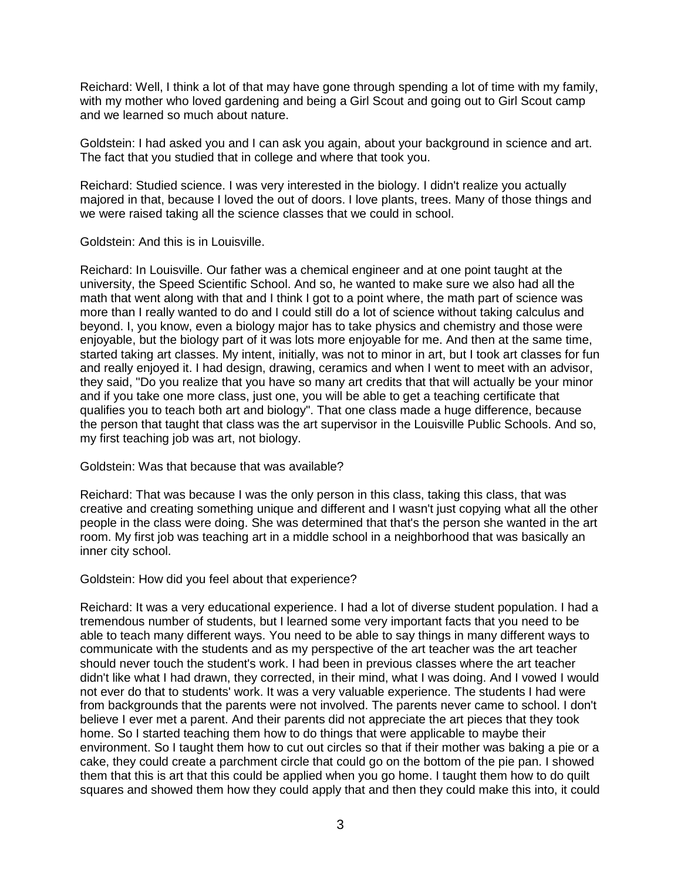Reichard: Well, I think a lot of that may have gone through spending a lot of time with my family, with my mother who loved gardening and being a Girl Scout and going out to Girl Scout camp and we learned so much about nature.

Goldstein: I had asked you and I can ask you again, about your background in science and art. The fact that you studied that in college and where that took you.

Reichard: Studied science. I was very interested in the biology. I didn't realize you actually majored in that, because I loved the out of doors. I love plants, trees. Many of those things and we were raised taking all the science classes that we could in school.

Goldstein: And this is in Louisville.

Reichard: In Louisville. Our father was a chemical engineer and at one point taught at the university, the Speed Scientific School. And so, he wanted to make sure we also had all the math that went along with that and I think I got to a point where, the math part of science was more than I really wanted to do and I could still do a lot of science without taking calculus and beyond. I, you know, even a biology major has to take physics and chemistry and those were enjoyable, but the biology part of it was lots more enjoyable for me. And then at the same time, started taking art classes. My intent, initially, was not to minor in art, but I took art classes for fun and really enjoyed it. I had design, drawing, ceramics and when I went to meet with an advisor, they said, "Do you realize that you have so many art credits that that will actually be your minor and if you take one more class, just one, you will be able to get a teaching certificate that qualifies you to teach both art and biology". That one class made a huge difference, because the person that taught that class was the art supervisor in the Louisville Public Schools. And so, my first teaching job was art, not biology.

Goldstein: Was that because that was available?

Reichard: That was because I was the only person in this class, taking this class, that was creative and creating something unique and different and I wasn't just copying what all the other people in the class were doing. She was determined that that's the person she wanted in the art room. My first job was teaching art in a middle school in a neighborhood that was basically an inner city school.

Goldstein: How did you feel about that experience?

Reichard: It was a very educational experience. I had a lot of diverse student population. I had a tremendous number of students, but I learned some very important facts that you need to be able to teach many different ways. You need to be able to say things in many different ways to communicate with the students and as my perspective of the art teacher was the art teacher should never touch the student's work. I had been in previous classes where the art teacher didn't like what I had drawn, they corrected, in their mind, what I was doing. And I vowed I would not ever do that to students' work. It was a very valuable experience. The students I had were from backgrounds that the parents were not involved. The parents never came to school. I don't believe I ever met a parent. And their parents did not appreciate the art pieces that they took home. So I started teaching them how to do things that were applicable to maybe their environment. So I taught them how to cut out circles so that if their mother was baking a pie or a cake, they could create a parchment circle that could go on the bottom of the pie pan. I showed them that this is art that this could be applied when you go home. I taught them how to do quilt squares and showed them how they could apply that and then they could make this into, it could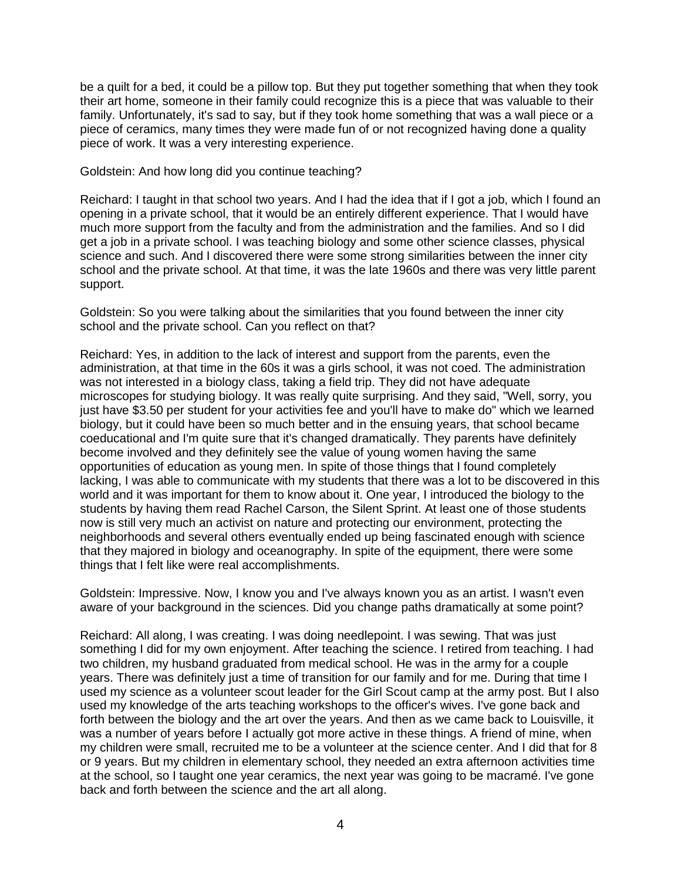be a quilt for a bed, it could be a pillow top. But they put together something that when they took their art home, someone in their family could recognize this is a piece that was valuable to their family. Unfortunately, it's sad to say, but if they took home something that was a wall piece or a piece of ceramics, many times they were made fun of or not recognized having done a quality piece of work. It was a very interesting experience.

Goldstein: And how long did you continue teaching?

Reichard: I taught in that school two years. And I had the idea that if I got a job, which I found an opening in a private school, that it would be an entirely different experience. That I would have much more support from the faculty and from the administration and the families. And so I did get a job in a private school. I was teaching biology and some other science classes, physical science and such. And I discovered there were some strong similarities between the inner city school and the private school. At that time, it was the late 1960s and there was very little parent support.

Goldstein: So you were talking about the similarities that you found between the inner city school and the private school. Can you reflect on that?

Reichard: Yes, in addition to the lack of interest and support from the parents, even the administration, at that time in the 60s it was a girls school, it was not coed. The administration was not interested in a biology class, taking a field trip. They did not have adequate microscopes for studying biology. It was really quite surprising. And they said, "Well, sorry, you just have \$3.50 per student for your activities fee and you'll have to make do" which we learned biology, but it could have been so much better and in the ensuing years, that school became coeducational and I'm quite sure that it's changed dramatically. They parents have definitely become involved and they definitely see the value of young women having the same opportunities of education as young men. In spite of those things that I found completely lacking, I was able to communicate with my students that there was a lot to be discovered in this world and it was important for them to know about it. One year, I introduced the biology to the students by having them read Rachel Carson, the Silent Sprint. At least one of those students now is still very much an activist on nature and protecting our environment, protecting the neighborhoods and several others eventually ended up being fascinated enough with science that they majored in biology and oceanography. In spite of the equipment, there were some things that I felt like were real accomplishments.

Goldstein: Impressive. Now, I know you and I've always known you as an artist. I wasn't even aware of your background in the sciences. Did you change paths dramatically at some point?

Reichard: All along, I was creating. I was doing needlepoint. I was sewing. That was just something I did for my own enjoyment. After teaching the science. I retired from teaching. I had two children, my husband graduated from medical school. He was in the army for a couple years. There was definitely just a time of transition for our family and for me. During that time I used my science as a volunteer scout leader for the Girl Scout camp at the army post. But I also used my knowledge of the arts teaching workshops to the officer's wives. I've gone back and forth between the biology and the art over the years. And then as we came back to Louisville, it was a number of years before I actually got more active in these things. A friend of mine, when my children were small, recruited me to be a volunteer at the science center. And I did that for 8 or 9 years. But my children in elementary school, they needed an extra afternoon activities time at the school, so I taught one year ceramics, the next year was going to be macramé. I've gone back and forth between the science and the art all along.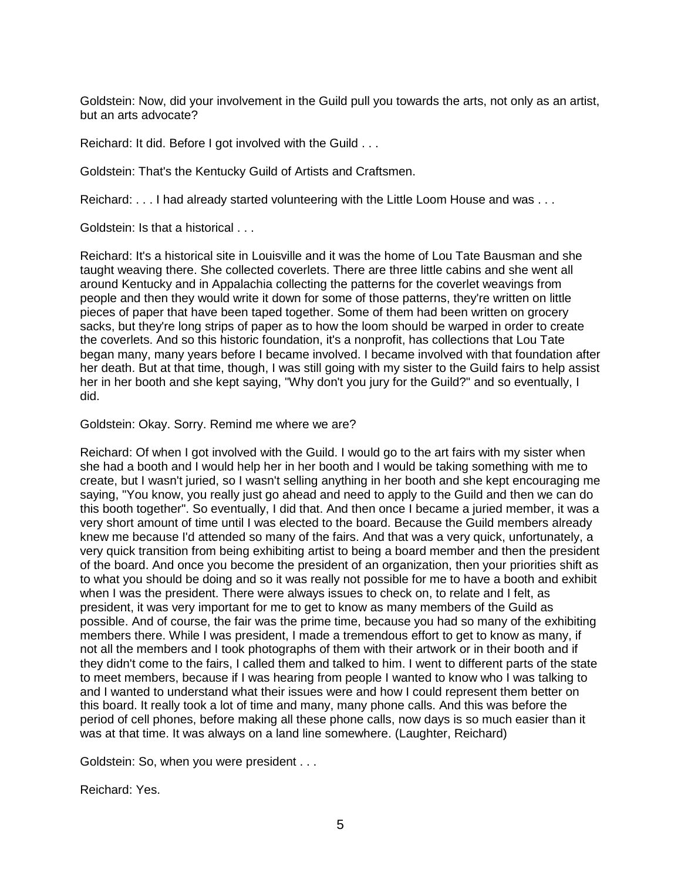Goldstein: Now, did your involvement in the Guild pull you towards the arts, not only as an artist, but an arts advocate?

Reichard: It did. Before I got involved with the Guild . . .

Goldstein: That's the Kentucky Guild of Artists and Craftsmen.

Reichard: . . . I had already started volunteering with the Little Loom House and was . . .

Goldstein: Is that a historical . . .

Reichard: It's a historical site in Louisville and it was the home of Lou Tate Bausman and she taught weaving there. She collected coverlets. There are three little cabins and she went all around Kentucky and in Appalachia collecting the patterns for the coverlet weavings from people and then they would write it down for some of those patterns, they're written on little pieces of paper that have been taped together. Some of them had been written on grocery sacks, but they're long strips of paper as to how the loom should be warped in order to create the coverlets. And so this historic foundation, it's a nonprofit, has collections that Lou Tate began many, many years before I became involved. I became involved with that foundation after her death. But at that time, though, I was still going with my sister to the Guild fairs to help assist her in her booth and she kept saying, "Why don't you jury for the Guild?" and so eventually, I did.

Goldstein: Okay. Sorry. Remind me where we are?

Reichard: Of when I got involved with the Guild. I would go to the art fairs with my sister when she had a booth and I would help her in her booth and I would be taking something with me to create, but I wasn't juried, so I wasn't selling anything in her booth and she kept encouraging me saying, "You know, you really just go ahead and need to apply to the Guild and then we can do this booth together". So eventually, I did that. And then once I became a juried member, it was a very short amount of time until I was elected to the board. Because the Guild members already knew me because I'd attended so many of the fairs. And that was a very quick, unfortunately, a very quick transition from being exhibiting artist to being a board member and then the president of the board. And once you become the president of an organization, then your priorities shift as to what you should be doing and so it was really not possible for me to have a booth and exhibit when I was the president. There were always issues to check on, to relate and I felt, as president, it was very important for me to get to know as many members of the Guild as possible. And of course, the fair was the prime time, because you had so many of the exhibiting members there. While I was president, I made a tremendous effort to get to know as many, if not all the members and I took photographs of them with their artwork or in their booth and if they didn't come to the fairs, I called them and talked to him. I went to different parts of the state to meet members, because if I was hearing from people I wanted to know who I was talking to and I wanted to understand what their issues were and how I could represent them better on this board. It really took a lot of time and many, many phone calls. And this was before the period of cell phones, before making all these phone calls, now days is so much easier than it was at that time. It was always on a land line somewhere. (Laughter, Reichard)

Goldstein: So, when you were president . . .

Reichard: Yes.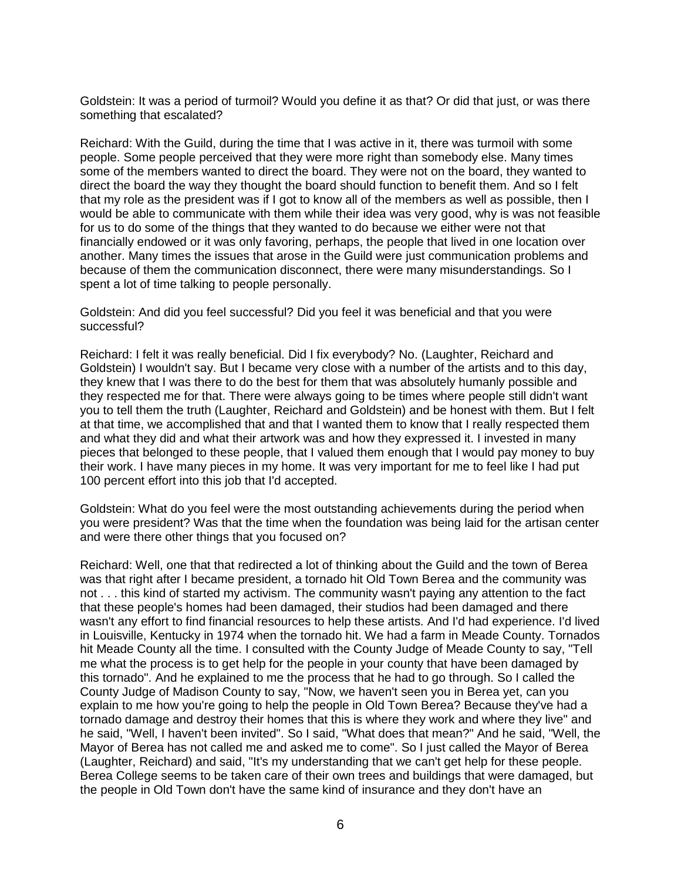Goldstein: It was a period of turmoil? Would you define it as that? Or did that just, or was there something that escalated?

Reichard: With the Guild, during the time that I was active in it, there was turmoil with some people. Some people perceived that they were more right than somebody else. Many times some of the members wanted to direct the board. They were not on the board, they wanted to direct the board the way they thought the board should function to benefit them. And so I felt that my role as the president was if I got to know all of the members as well as possible, then I would be able to communicate with them while their idea was very good, why is was not feasible for us to do some of the things that they wanted to do because we either were not that financially endowed or it was only favoring, perhaps, the people that lived in one location over another. Many times the issues that arose in the Guild were just communication problems and because of them the communication disconnect, there were many misunderstandings. So I spent a lot of time talking to people personally.

Goldstein: And did you feel successful? Did you feel it was beneficial and that you were successful?

Reichard: I felt it was really beneficial. Did I fix everybody? No. (Laughter, Reichard and Goldstein) I wouldn't say. But I became very close with a number of the artists and to this day, they knew that I was there to do the best for them that was absolutely humanly possible and they respected me for that. There were always going to be times where people still didn't want you to tell them the truth (Laughter, Reichard and Goldstein) and be honest with them. But I felt at that time, we accomplished that and that I wanted them to know that I really respected them and what they did and what their artwork was and how they expressed it. I invested in many pieces that belonged to these people, that I valued them enough that I would pay money to buy their work. I have many pieces in my home. It was very important for me to feel like I had put 100 percent effort into this job that I'd accepted.

Goldstein: What do you feel were the most outstanding achievements during the period when you were president? Was that the time when the foundation was being laid for the artisan center and were there other things that you focused on?

Reichard: Well, one that that redirected a lot of thinking about the Guild and the town of Berea was that right after I became president, a tornado hit Old Town Berea and the community was not . . . this kind of started my activism. The community wasn't paying any attention to the fact that these people's homes had been damaged, their studios had been damaged and there wasn't any effort to find financial resources to help these artists. And I'd had experience. I'd lived in Louisville, Kentucky in 1974 when the tornado hit. We had a farm in Meade County. Tornados hit Meade County all the time. I consulted with the County Judge of Meade County to say, "Tell me what the process is to get help for the people in your county that have been damaged by this tornado". And he explained to me the process that he had to go through. So I called the County Judge of Madison County to say, "Now, we haven't seen you in Berea yet, can you explain to me how you're going to help the people in Old Town Berea? Because they've had a tornado damage and destroy their homes that this is where they work and where they live" and he said, "Well, I haven't been invited". So I said, "What does that mean?" And he said, "Well, the Mayor of Berea has not called me and asked me to come". So I just called the Mayor of Berea (Laughter, Reichard) and said, "It's my understanding that we can't get help for these people. Berea College seems to be taken care of their own trees and buildings that were damaged, but the people in Old Town don't have the same kind of insurance and they don't have an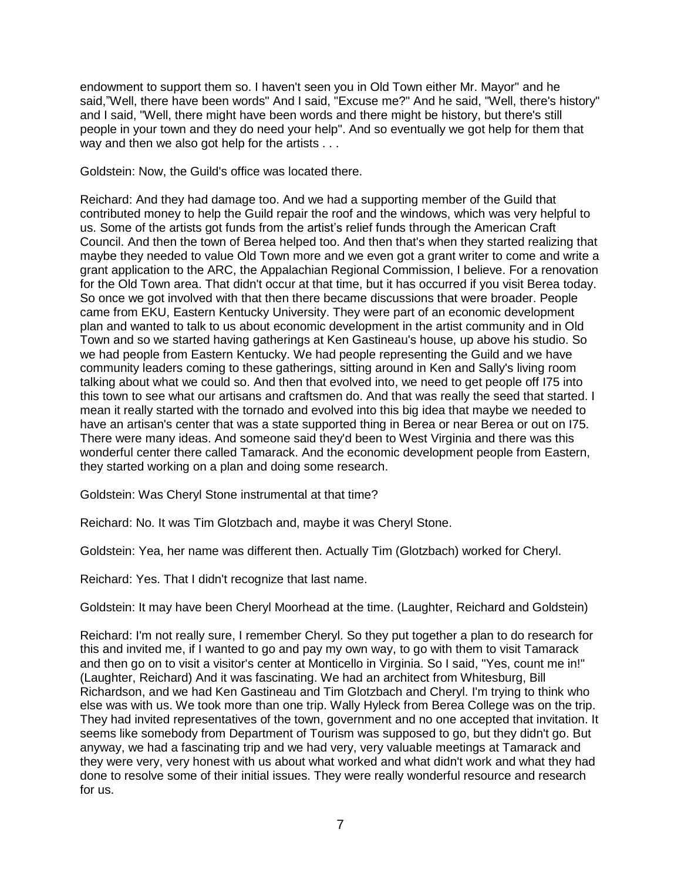endowment to support them so. I haven't seen you in Old Town either Mr. Mayor" and he said,"Well, there have been words" And I said, "Excuse me?" And he said, "Well, there's history" and I said, "Well, there might have been words and there might be history, but there's still people in your town and they do need your help". And so eventually we got help for them that way and then we also got help for the artists . . .

Goldstein: Now, the Guild's office was located there.

Reichard: And they had damage too. And we had a supporting member of the Guild that contributed money to help the Guild repair the roof and the windows, which was very helpful to us. Some of the artists got funds from the artist's relief funds through the American Craft Council. And then the town of Berea helped too. And then that's when they started realizing that maybe they needed to value Old Town more and we even got a grant writer to come and write a grant application to the ARC, the Appalachian Regional Commission, I believe. For a renovation for the Old Town area. That didn't occur at that time, but it has occurred if you visit Berea today. So once we got involved with that then there became discussions that were broader. People came from EKU, Eastern Kentucky University. They were part of an economic development plan and wanted to talk to us about economic development in the artist community and in Old Town and so we started having gatherings at Ken Gastineau's house, up above his studio. So we had people from Eastern Kentucky. We had people representing the Guild and we have community leaders coming to these gatherings, sitting around in Ken and Sally's living room talking about what we could so. And then that evolved into, we need to get people off I75 into this town to see what our artisans and craftsmen do. And that was really the seed that started. I mean it really started with the tornado and evolved into this big idea that maybe we needed to have an artisan's center that was a state supported thing in Berea or near Berea or out on I75. There were many ideas. And someone said they'd been to West Virginia and there was this wonderful center there called Tamarack. And the economic development people from Eastern, they started working on a plan and doing some research.

Goldstein: Was Cheryl Stone instrumental at that time?

Reichard: No. It was Tim Glotzbach and, maybe it was Cheryl Stone.

Goldstein: Yea, her name was different then. Actually Tim (Glotzbach) worked for Cheryl.

Reichard: Yes. That I didn't recognize that last name.

Goldstein: It may have been Cheryl Moorhead at the time. (Laughter, Reichard and Goldstein)

Reichard: I'm not really sure, I remember Cheryl. So they put together a plan to do research for this and invited me, if I wanted to go and pay my own way, to go with them to visit Tamarack and then go on to visit a visitor's center at Monticello in Virginia. So I said, "Yes, count me in!" (Laughter, Reichard) And it was fascinating. We had an architect from Whitesburg, Bill Richardson, and we had Ken Gastineau and Tim Glotzbach and Cheryl. I'm trying to think who else was with us. We took more than one trip. Wally Hyleck from Berea College was on the trip. They had invited representatives of the town, government and no one accepted that invitation. It seems like somebody from Department of Tourism was supposed to go, but they didn't go. But anyway, we had a fascinating trip and we had very, very valuable meetings at Tamarack and they were very, very honest with us about what worked and what didn't work and what they had done to resolve some of their initial issues. They were really wonderful resource and research for us.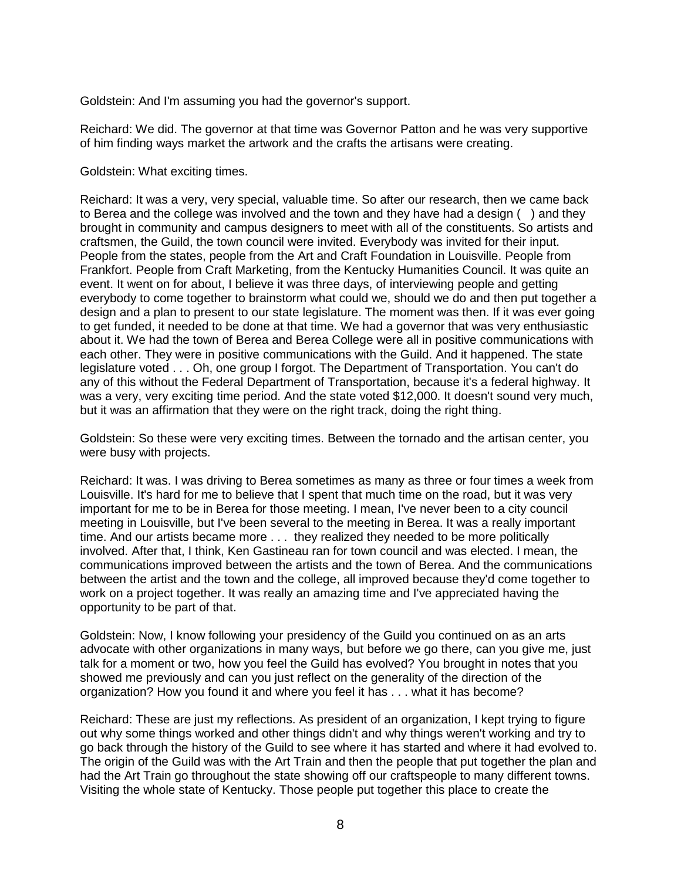Goldstein: And I'm assuming you had the governor's support.

Reichard: We did. The governor at that time was Governor Patton and he was very supportive of him finding ways market the artwork and the crafts the artisans were creating.

Goldstein: What exciting times.

Reichard: It was a very, very special, valuable time. So after our research, then we came back to Berea and the college was involved and the town and they have had a design ( ) and they brought in community and campus designers to meet with all of the constituents. So artists and craftsmen, the Guild, the town council were invited. Everybody was invited for their input. People from the states, people from the Art and Craft Foundation in Louisville. People from Frankfort. People from Craft Marketing, from the Kentucky Humanities Council. It was quite an event. It went on for about, I believe it was three days, of interviewing people and getting everybody to come together to brainstorm what could we, should we do and then put together a design and a plan to present to our state legislature. The moment was then. If it was ever going to get funded, it needed to be done at that time. We had a governor that was very enthusiastic about it. We had the town of Berea and Berea College were all in positive communications with each other. They were in positive communications with the Guild. And it happened. The state legislature voted . . . Oh, one group I forgot. The Department of Transportation. You can't do any of this without the Federal Department of Transportation, because it's a federal highway. It was a very, very exciting time period. And the state voted \$12,000. It doesn't sound very much, but it was an affirmation that they were on the right track, doing the right thing.

Goldstein: So these were very exciting times. Between the tornado and the artisan center, you were busy with projects.

Reichard: It was. I was driving to Berea sometimes as many as three or four times a week from Louisville. It's hard for me to believe that I spent that much time on the road, but it was very important for me to be in Berea for those meeting. I mean, I've never been to a city council meeting in Louisville, but I've been several to the meeting in Berea. It was a really important time. And our artists became more . . . they realized they needed to be more politically involved. After that, I think, Ken Gastineau ran for town council and was elected. I mean, the communications improved between the artists and the town of Berea. And the communications between the artist and the town and the college, all improved because they'd come together to work on a project together. It was really an amazing time and I've appreciated having the opportunity to be part of that.

Goldstein: Now, I know following your presidency of the Guild you continued on as an arts advocate with other organizations in many ways, but before we go there, can you give me, just talk for a moment or two, how you feel the Guild has evolved? You brought in notes that you showed me previously and can you just reflect on the generality of the direction of the organization? How you found it and where you feel it has . . . what it has become?

Reichard: These are just my reflections. As president of an organization, I kept trying to figure out why some things worked and other things didn't and why things weren't working and try to go back through the history of the Guild to see where it has started and where it had evolved to. The origin of the Guild was with the Art Train and then the people that put together the plan and had the Art Train go throughout the state showing off our craftspeople to many different towns. Visiting the whole state of Kentucky. Those people put together this place to create the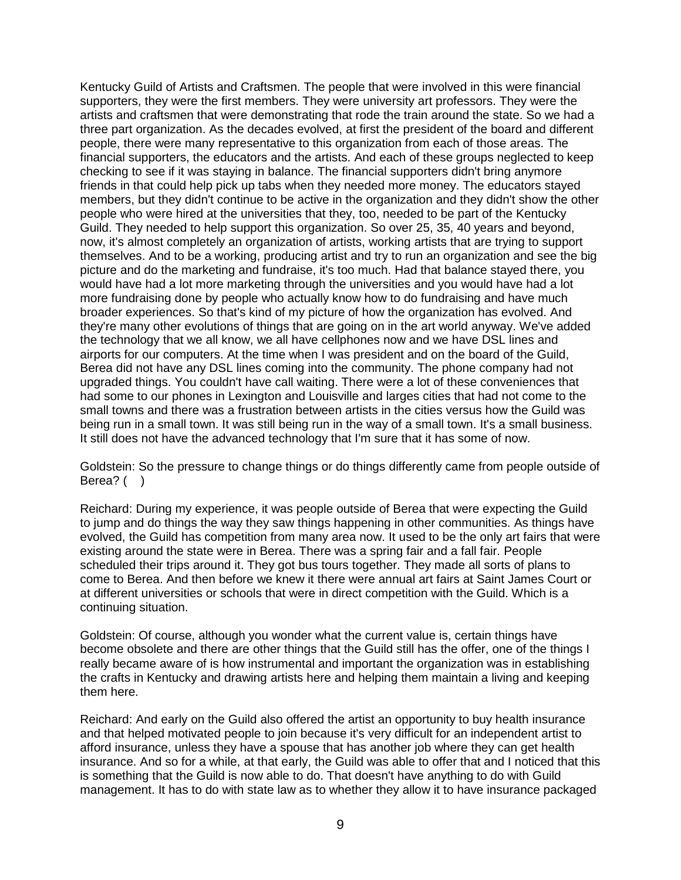Kentucky Guild of Artists and Craftsmen. The people that were involved in this were financial supporters, they were the first members. They were university art professors. They were the artists and craftsmen that were demonstrating that rode the train around the state. So we had a three part organization. As the decades evolved, at first the president of the board and different people, there were many representative to this organization from each of those areas. The financial supporters, the educators and the artists. And each of these groups neglected to keep checking to see if it was staying in balance. The financial supporters didn't bring anymore friends in that could help pick up tabs when they needed more money. The educators stayed members, but they didn't continue to be active in the organization and they didn't show the other people who were hired at the universities that they, too, needed to be part of the Kentucky Guild. They needed to help support this organization. So over 25, 35, 40 years and beyond, now, it's almost completely an organization of artists, working artists that are trying to support themselves. And to be a working, producing artist and try to run an organization and see the big picture and do the marketing and fundraise, it's too much. Had that balance stayed there, you would have had a lot more marketing through the universities and you would have had a lot more fundraising done by people who actually know how to do fundraising and have much broader experiences. So that's kind of my picture of how the organization has evolved. And they're many other evolutions of things that are going on in the art world anyway. We've added the technology that we all know, we all have cellphones now and we have DSL lines and airports for our computers. At the time when I was president and on the board of the Guild, Berea did not have any DSL lines coming into the community. The phone company had not upgraded things. You couldn't have call waiting. There were a lot of these conveniences that had some to our phones in Lexington and Louisville and larges cities that had not come to the small towns and there was a frustration between artists in the cities versus how the Guild was being run in a small town. It was still being run in the way of a small town. It's a small business. It still does not have the advanced technology that I'm sure that it has some of now.

Goldstein: So the pressure to change things or do things differently came from people outside of Berea? ()

Reichard: During my experience, it was people outside of Berea that were expecting the Guild to jump and do things the way they saw things happening in other communities. As things have evolved, the Guild has competition from many area now. It used to be the only art fairs that were existing around the state were in Berea. There was a spring fair and a fall fair. People scheduled their trips around it. They got bus tours together. They made all sorts of plans to come to Berea. And then before we knew it there were annual art fairs at Saint James Court or at different universities or schools that were in direct competition with the Guild. Which is a continuing situation.

Goldstein: Of course, although you wonder what the current value is, certain things have become obsolete and there are other things that the Guild still has the offer, one of the things I really became aware of is how instrumental and important the organization was in establishing the crafts in Kentucky and drawing artists here and helping them maintain a living and keeping them here.

Reichard: And early on the Guild also offered the artist an opportunity to buy health insurance and that helped motivated people to join because it's very difficult for an independent artist to afford insurance, unless they have a spouse that has another job where they can get health insurance. And so for a while, at that early, the Guild was able to offer that and I noticed that this is something that the Guild is now able to do. That doesn't have anything to do with Guild management. It has to do with state law as to whether they allow it to have insurance packaged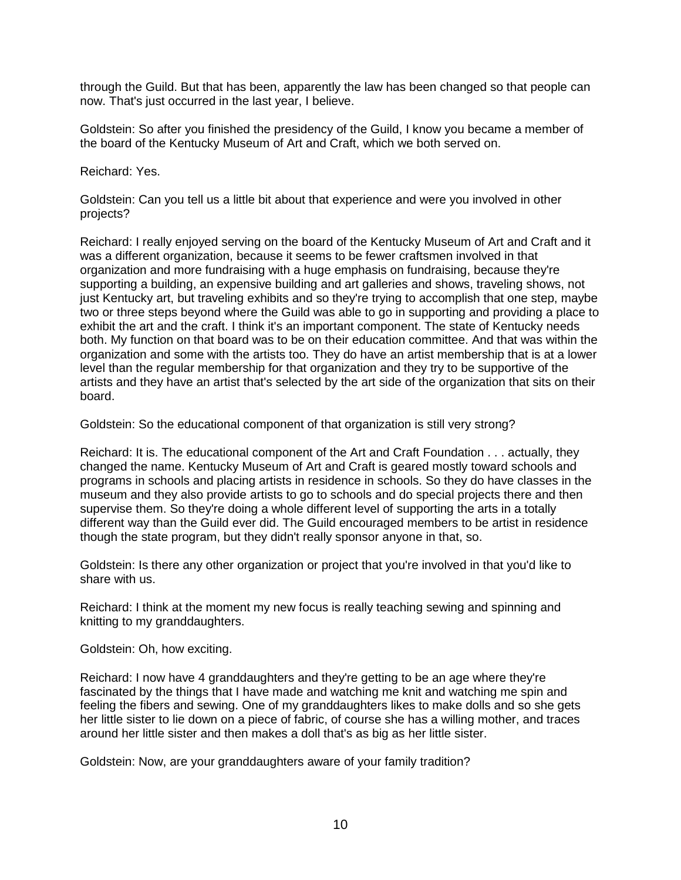through the Guild. But that has been, apparently the law has been changed so that people can now. That's just occurred in the last year, I believe.

Goldstein: So after you finished the presidency of the Guild, I know you became a member of the board of the Kentucky Museum of Art and Craft, which we both served on.

Reichard: Yes.

Goldstein: Can you tell us a little bit about that experience and were you involved in other projects?

Reichard: I really enjoyed serving on the board of the Kentucky Museum of Art and Craft and it was a different organization, because it seems to be fewer craftsmen involved in that organization and more fundraising with a huge emphasis on fundraising, because they're supporting a building, an expensive building and art galleries and shows, traveling shows, not just Kentucky art, but traveling exhibits and so they're trying to accomplish that one step, maybe two or three steps beyond where the Guild was able to go in supporting and providing a place to exhibit the art and the craft. I think it's an important component. The state of Kentucky needs both. My function on that board was to be on their education committee. And that was within the organization and some with the artists too. They do have an artist membership that is at a lower level than the regular membership for that organization and they try to be supportive of the artists and they have an artist that's selected by the art side of the organization that sits on their board.

Goldstein: So the educational component of that organization is still very strong?

Reichard: It is. The educational component of the Art and Craft Foundation . . . actually, they changed the name. Kentucky Museum of Art and Craft is geared mostly toward schools and programs in schools and placing artists in residence in schools. So they do have classes in the museum and they also provide artists to go to schools and do special projects there and then supervise them. So they're doing a whole different level of supporting the arts in a totally different way than the Guild ever did. The Guild encouraged members to be artist in residence though the state program, but they didn't really sponsor anyone in that, so.

Goldstein: Is there any other organization or project that you're involved in that you'd like to share with us.

Reichard: I think at the moment my new focus is really teaching sewing and spinning and knitting to my granddaughters.

Goldstein: Oh, how exciting.

Reichard: I now have 4 granddaughters and they're getting to be an age where they're fascinated by the things that I have made and watching me knit and watching me spin and feeling the fibers and sewing. One of my granddaughters likes to make dolls and so she gets her little sister to lie down on a piece of fabric, of course she has a willing mother, and traces around her little sister and then makes a doll that's as big as her little sister.

Goldstein: Now, are your granddaughters aware of your family tradition?